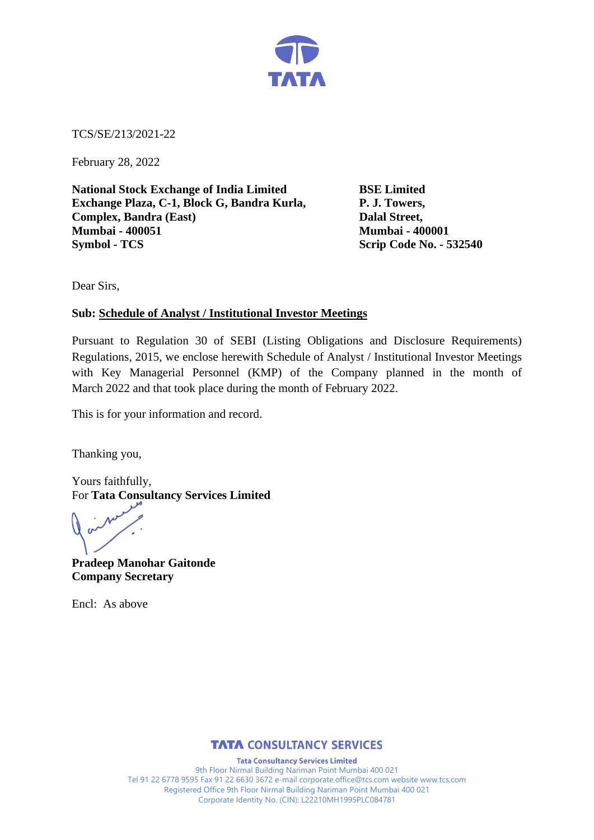

TCS/SE/213/2021-22

February 28, 2022

**National Stock Exchange of India Limited BSE Limited Exchange Plaza, C-1, Block G, Bandra Kurla, P. J. Towers, Complex, Bandra (East) Dalal Street, Mumbai - 400051 Mumbai - 400001 Symbol - TCS Scrip Code No. - 532540**

Dear Sirs,

# **Sub: Schedule of Analyst / Institutional Investor Meetings**

Pursuant to Regulation 30 of SEBI (Listing Obligations and Disclosure Requirements) Regulations, 2015, we enclose herewith Schedule of Analyst / Institutional Investor Meetings with Key Managerial Personnel (KMP) of the Company planned in the month of March 2022 and that took place during the month of February 2022.

This is for your information and record.

Thanking you,

Yours faithfully, For **Tata Consultancy Services Limited**

**Pradeep Manohar Gaitonde Company Secretary**

Encl: As above



**Tata Consultancy Services Limited** 9th Floor Nirmal Building Nariman Point Mumbai 400 021 Tel 91 22 6778 9595 Fax 91 22 6630 3672 e-mail corporate.office@tcs.com website www.tcs.com Registered Office 9th Floor Nirmal Building Nariman Point Mumbai 400 021 Corporate Identity No. (CIN): L22210MH1995PLC084781